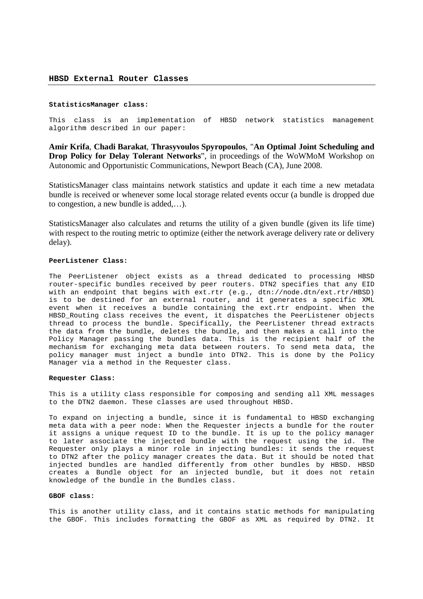# **StatisticsManager class:**

This class is an implementation of HBSD network statistics management algorithm described in our paper:

**Amir Krifa**, **Chadi Barakat**, **Thrasyvoulos Spyropoulos**, "**An Optimal Joint Scheduling and Drop Policy for Delay Tolerant Networks**", in proceedings of the WoWMoM Workshop on Autonomic and Opportunistic Communications, Newport Beach (CA), June 2008.

StatisticsManager class maintains network statistics and update it each time a new metadata bundle is received or whenever some local storage related events occur (a bundle is dropped due to congestion, a new bundle is added,…).

StatisticsManager also calculates and returns the utility of a given bundle (given its life time) with respect to the routing metric to optimize (either the network average delivery rate or delivery delay).

## **PeerListener Class:**

The PeerListener object exists as a thread dedicated to processing HBSD router-specific bundles received by peer routers. DTN2 specifies that any EID with an endpoint that begins with ext.rtr (e.g., dtn://node.dtn/ext.rtr/HBSD) is to be destined for an external router, and it generates a specific XML event when it receives a bundle containing the ext.rtr endpoint. When the HBSD\_Routing class receives the event, it dispatches the PeerListener objects thread to process the bundle. Specifically, the PeerListener thread extracts the data from the bundle, deletes the bundle, and then makes a call into the Policy Manager passing the bundles data. This is the recipient half of the mechanism for exchanging meta data between routers. To send meta data, the policy manager must inject a bundle into DTN2. This is done by the Policy Manager via a method in the Requester class.

## **Requester Class:**

This is a utility class responsible for composing and sending all XML messages to the DTN2 daemon. These classes are used throughout HBSD.

To expand on injecting a bundle, since it is fundamental to HBSD exchanging meta data with a peer node: When the Requester injects a bundle for the router it assigns a unique request ID to the bundle. It is up to the policy manager to later associate the injected bundle with the request using the id. The Requester only plays a minor role in injecting bundles: it sends the request to DTN2 after the policy manager creates the data. But it should be noted that injected bundles are handled differently from other bundles by HBSD. HBSD creates a Bundle object for an injected bundle, but it does not retain knowledge of the bundle in the Bundles class.

### **GBOF class:**

This is another utility class, and it contains static methods for manipulating the GBOF. This includes formatting the GBOF as XML as required by DTN2. It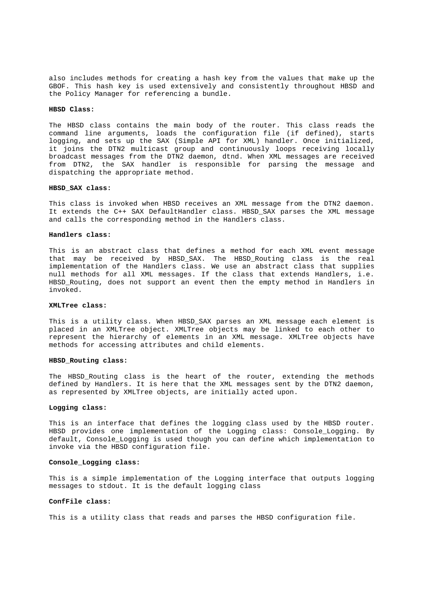also includes methods for creating a hash key from the values that make up the GBOF. This hash key is used extensively and consistently throughout HBSD and the Policy Manager for referencing a bundle.

### **HBSD Class:**

The HBSD class contains the main body of the router. This class reads the command line arguments, loads the configuration file (if defined), starts logging, and sets up the SAX (Simple API for XML) handler. Once initialized, it joins the DTN2 multicast group and continuously loops receiving locally broadcast messages from the DTN2 daemon, dtnd. When XML messages are received from DTN2, the SAX handler is responsible for parsing the message and dispatching the appropriate method.

## **HBSD\_SAX class:**

This class is invoked when HBSD receives an XML message from the DTN2 daemon. It extends the C++ SAX DefaultHandler class. HBSD\_SAX parses the XML message and calls the corresponding method in the Handlers class.

#### **Handlers class:**

This is an abstract class that defines a method for each XML event message that may be received by HBSD\_SAX. The HBSD\_Routing class is the real implementation of the Handlers class. We use an abstract class that supplies null methods for all XML messages. If the class that extends Handlers, i.e. HBSD Routing, does not support an event then the empty method in Handlers in invoked.

## **XMLTree class:**

This is a utility class. When HBSD\_SAX parses an XML message each element is placed in an XMLTree object. XMLTree objects may be linked to each other to represent the hierarchy of elements in an XML message. XMLTree objects have methods for accessing attributes and child elements.

### **HBSD\_Routing class:**

The HBSD\_Routing class is the heart of the router, extending the methods defined by Handlers. It is here that the XML messages sent by the DTN2 daemon, as represented by XMLTree objects, are initially acted upon.

# **Logging class:**

This is an interface that defines the logging class used by the HBSD router. HBSD provides one implementation of the Logging class: Console\_Logging. By default, Console\_Logging is used though you can define which implementation to invoke via the HBSD configuration file.

## **Console\_Logging class:**

This is a simple implementation of the Logging interface that outputs logging messages to stdout. It is the default logging class

# **ConfFile class:**

This is a utility class that reads and parses the HBSD configuration file.